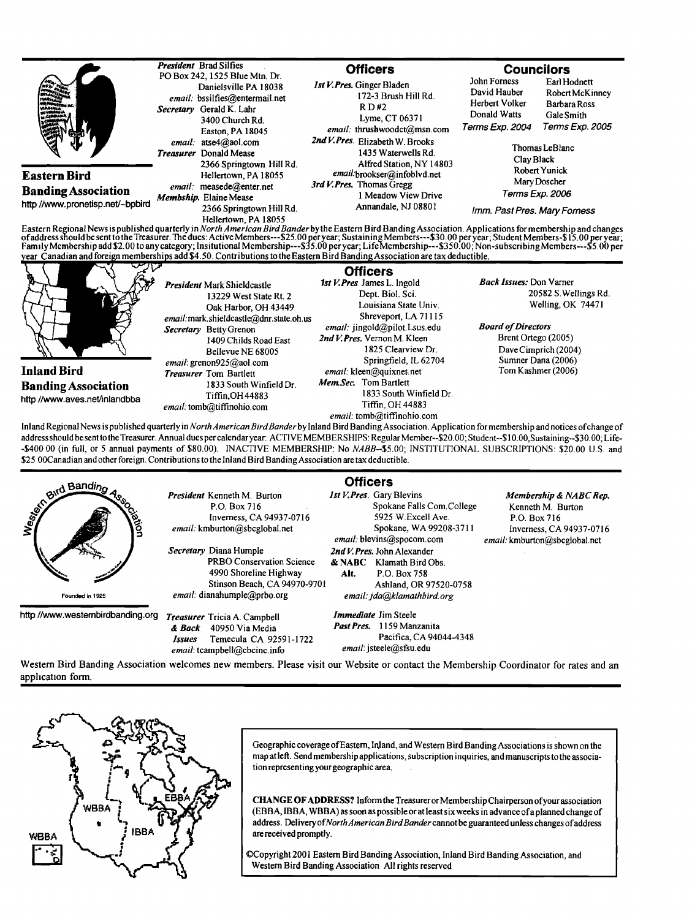|                                                                                | <b>President</b> Brad Silfies<br>PO Box 242, 1525 Blue Mtn. Dr.                                                                | <b>Officers</b>                                                                                                     | <b>Councilors</b>                                                                                                                                                            |
|--------------------------------------------------------------------------------|--------------------------------------------------------------------------------------------------------------------------------|---------------------------------------------------------------------------------------------------------------------|------------------------------------------------------------------------------------------------------------------------------------------------------------------------------|
| 舂<br>₹L                                                                        | Danielsville PA 18038<br>email: bssilfies@entermail.net<br>Secretary Gerald K. Lahr<br>3400 Church Rd.<br>Easton, PA 18045     | <b>Ist V. Pres.</b> Ginger Bladen<br>172-3 Brush Hill Rd.<br>R D#2<br>Lyme, CT 06371<br>email: thrushwoodct@msn.com | John Forness<br>Earl Hodnett<br>David Hauber<br>Robert McKinney<br>Herbert Volker<br>Barbara Ross<br>Donald Watts<br>Gale Smith<br><i>Terms Exp. 2005</i><br>Terms Exp. 2004 |
|                                                                                | $email.$ atse $4@$ aol.com<br><b>Treasurer</b> Donald Mease<br>2366 Springtown Hill Rd.                                        | 2nd V. Pres. Elizabeth W. Brooks<br>1435 Waterwells Rd.<br>Alfred Station, NY 14803                                 | Thomas LeBlanc<br>Clay Black<br>Robert Yunick<br>Mary Doscher                                                                                                                |
| Eastern Bird<br><b>Banding Association</b><br>http //www.pronetisp.net/~bpbird | Hellertown, PA 18055<br>email: measede@enter.net<br>Membship. Elaine Mease<br>2366 Springtown Hill Rd.<br>Hellertown, PA 18055 | email.brookser@infoblvd.net<br>3rd V. Pres. Thomas Gregg                                                            |                                                                                                                                                                              |
|                                                                                |                                                                                                                                | 1 Meadow View Drive<br>Annandale, NJ 08801                                                                          | <i>Terms Exp. 2006</i><br>Imm. Past Pres. Mary Forness                                                                                                                       |

Eastern Regional News is published quarterly in *North American Bird Bander* by the Eastern Bird Banding Association. Applications for membership and changes<br>of address should be sent to the Treasurer. The dues: Active Mem



President Mark Shieldcastle 13229 West State Rt. 2 Oak Harbor, OH 43449 email:mark.shieldcastle@dnr.state.oh.us Secretary Betty Grenon 1409 Childs Road East email: grenon925@aol.com **Springfield, IL 62704** Sumner Dana (2006)<br>**Fregsurer** Tom Bartlett **Summer Constant Springfield, IL 62704** Tom Kashmer (2006) **Inland Bird** Treasurer Tom Bartlett email: kleen@quixnet.<br> **Randing Association** 1833 South Winfield Dr. Mem.Sec. Tom Bartlett **Banding Association** 1833 South Winfield Dr. Mem. Sec. Tom Bartlett **Next** 1833 South Winfield Dr. http //www.aves.net/inlandbba **1833** Tiffin,OH 44883 1833 South Winfin<br>*email:* tomb@tiffinohio.com Tiffin, OH 44883

**Officers** 1st V. Pres James L. Ingold Dept. Biol. Sci. Louisiana State Univ. Shreveport. LA 71115 email: jingold@pilot.Lsus.edu 2nd V. Pres. Vernon M. Kleen **Bellevue NE 68005** 1825 Clearview Dr. Dave Cimprich (2004)<br> **Springfield, IL 62704 Summer Dana** (2006)

**Back Issues: Don Varner** 20582 S. Wellings Rd. Welling, OK 74471

**Board of Directors** Brent Ortego (2005)

 $email: tomb@tiffinohio.com$ Inland Regional News is published quarterly in *North American Bird Bander* by Inland Bird Banding Association. Application for membership and notices of change of **address should be senttothe Treasurer. Annual dues per calendaryear: ACTIVEMEMBERSHIPS: Regular Member--S20.00; Student--\$10.00,Sustaining-S30.00; Life- -\$400 00 (in full, or 5 annual payments of \$80.00). INACT1VE MEMBERSHIP: No NABB--\$5.00; INSTITUTIONAL SUBSCRIPTIONS: \$20.00 U.S. and \$25 00Canadian and other foreign. Contributions tothe l nland Bird BandingAssociation are tax deductible.** 



**President Kenneth M. Burton P.O. Box 716 Inverness, CA 94937-0716**   $email:$  kmburton@sbcglobal.net

**Secretary Diana Humple PRBO Conservation Science 4990 Shoreline Highway Stinson Beach, CA 94970-9701**  email. dianahumple@prbo.org

**http//www.westembirdbanding.org Treasurer Tricia A. Campbell & Back 40950 Via Media Issues Temecula CA 92591-1722**   $email:$  tcampbell@cbcinc.info

**Officers**  *lst V. Pres.* Gary Blevins

**Spokane Falls Corn.College 5925 W.Excell Ave. Spokane, WA 99208-371 l**   $email:$  blevins@spocom.com **2nd V. Pres. John Alexander & NABC Klamath Bird Obs. Air. P.O. Box 758 Ashland, OR 97520-0758**  email: jda@klamathbird.org

**Immediate Jim Steele PastPres. 1159 Manzanita Pacifica, CA 94044-4348**   $email:$  jsteele@sfsu.edu

**Membership & NABC Rep. Kenneth M. Burton P.O. Box 716 Inverness, CA 94937-0716**   $email:$  kmburton@sbcglobal.net

**Western Bird Banding Association welcomes new members. Please visit our Website or contact the Membership Coordinator for rates and an application form.** 



**Geographic coverage ofEastern, lnJand, and Western Bird Banding Associations is shown on the**  map at left. Send membership applications, subscription inquiries, and manuscripts to the associa**tion representing your geographic area.** 

**CHANGE OFADDRESS? Inform the Treasurer or Membership Chairperson elyour association (EBBA, IBBA, WBBA) as soon as possible or at least six weeks in advance of a planned change of**  address. Delivery of North American Bird Bander cannot be guaranteed unless changes of address **are received promptly.** 

**•opyright 2001 Eastem Bird Banding Association, Inland Bird Banding Association, and Western Bird Banding Association All rights reserved**